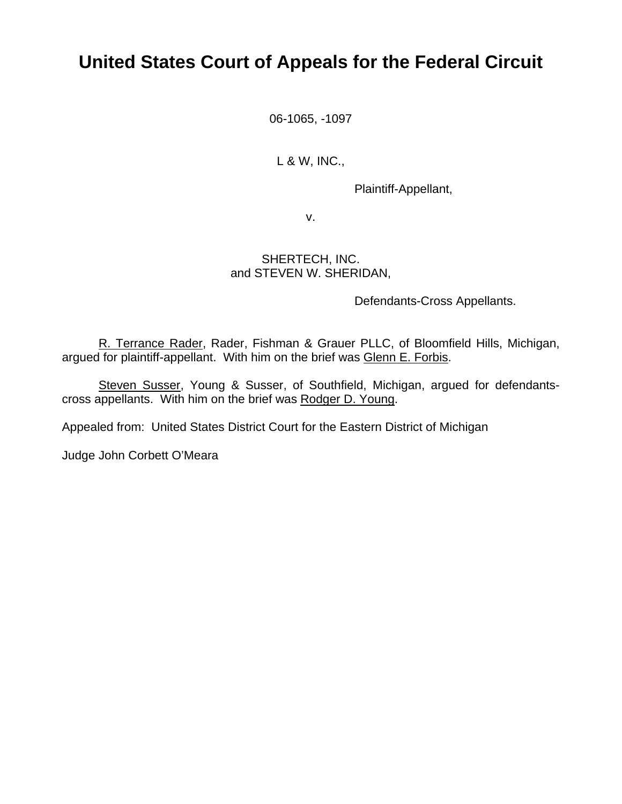# **United States Court of Appeals for the Federal Circuit**

06-1065, -1097

L & W, INC.,

Plaintiff-Appellant,

v.

### SHERTECH, INC. and STEVEN W. SHERIDAN,

Defendants-Cross Appellants.

R. Terrance Rader, Rader, Fishman & Grauer PLLC, of Bloomfield Hills, Michigan, argued for plaintiff-appellant. With him on the brief was Glenn E. Forbis.

Steven Susser, Young & Susser, of Southfield, Michigan, argued for defendantscross appellants. With him on the brief was Rodger D. Young.

Appealed from: United States District Court for the Eastern District of Michigan

Judge John Corbett O'Meara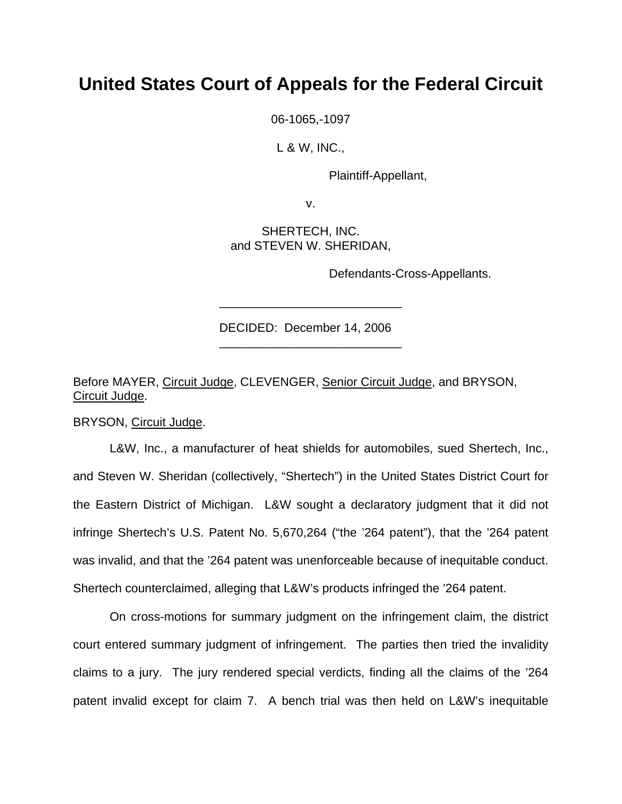## **United States Court of Appeals for the Federal Circuit**

06-1065,-1097

L & W, INC.,

Plaintiff-Appellant,

v.

SHERTECH, INC. and STEVEN W. SHERIDAN,

Defendants-Cross-Appellants.

DECIDED: December 14, 2006

\_\_\_\_\_\_\_\_\_\_\_\_\_\_\_\_\_\_\_\_\_\_\_\_\_\_\_

\_\_\_\_\_\_\_\_\_\_\_\_\_\_\_\_\_\_\_\_\_\_\_\_\_\_\_

Before MAYER, Circuit Judge, CLEVENGER, Senior Circuit Judge, and BRYSON, Circuit Judge.

BRYSON, Circuit Judge.

 L&W, Inc., a manufacturer of heat shields for automobiles, sued Shertech, Inc., and Steven W. Sheridan (collectively, "Shertech") in the United States District Court for the Eastern District of Michigan. L&W sought a declaratory judgment that it did not infringe Shertech's U.S. Patent No. 5,670,264 ("the '264 patent"), that the '264 patent was invalid, and that the '264 patent was unenforceable because of inequitable conduct. Shertech counterclaimed, alleging that L&W's products infringed the '264 patent.

 On cross-motions for summary judgment on the infringement claim, the district court entered summary judgment of infringement. The parties then tried the invalidity claims to a jury. The jury rendered special verdicts, finding all the claims of the '264 patent invalid except for claim 7. A bench trial was then held on L&W's inequitable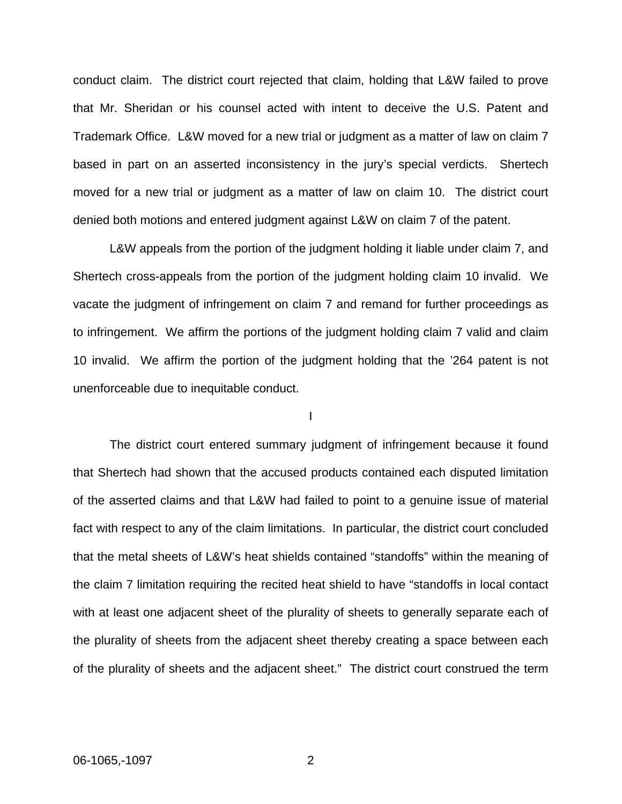conduct claim. The district court rejected that claim, holding that L&W failed to prove that Mr. Sheridan or his counsel acted with intent to deceive the U.S. Patent and Trademark Office. L&W moved for a new trial or judgment as a matter of law on claim 7 based in part on an asserted inconsistency in the jury's special verdicts. Shertech moved for a new trial or judgment as a matter of law on claim 10. The district court denied both motions and entered judgment against L&W on claim 7 of the patent.

L&W appeals from the portion of the judgment holding it liable under claim 7, and Shertech cross-appeals from the portion of the judgment holding claim 10 invalid. We vacate the judgment of infringement on claim 7 and remand for further proceedings as to infringement. We affirm the portions of the judgment holding claim 7 valid and claim 10 invalid. We affirm the portion of the judgment holding that the '264 patent is not unenforceable due to inequitable conduct.

I

 The district court entered summary judgment of infringement because it found that Shertech had shown that the accused products contained each disputed limitation of the asserted claims and that L&W had failed to point to a genuine issue of material fact with respect to any of the claim limitations. In particular, the district court concluded that the metal sheets of L&W's heat shields contained "standoffs" within the meaning of the claim 7 limitation requiring the recited heat shield to have "standoffs in local contact with at least one adjacent sheet of the plurality of sheets to generally separate each of the plurality of sheets from the adjacent sheet thereby creating a space between each of the plurality of sheets and the adjacent sheet." The district court construed the term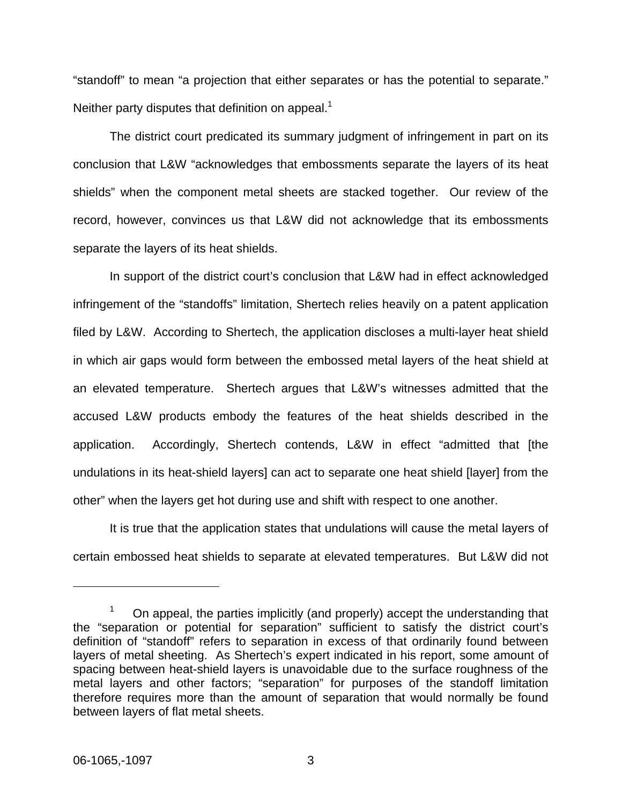"standoff" to mean "a projection that either separates or has the potential to separate." Neither party disputes that definition on appeal.<sup>[1](#page-3-0)</sup>

The district court predicated its summary judgment of infringement in part on its conclusion that L&W "acknowledges that embossments separate the layers of its heat shields" when the component metal sheets are stacked together. Our review of the record, however, convinces us that L&W did not acknowledge that its embossments separate the layers of its heat shields.

In support of the district court's conclusion that L&W had in effect acknowledged infringement of the "standoffs" limitation, Shertech relies heavily on a patent application filed by L&W. According to Shertech, the application discloses a multi-layer heat shield in which air gaps would form between the embossed metal layers of the heat shield at an elevated temperature. Shertech argues that L&W's witnesses admitted that the accused L&W products embody the features of the heat shields described in the application. Accordingly, Shertech contends, L&W in effect "admitted that [the undulations in its heat-shield layers] can act to separate one heat shield [layer] from the other" when the layers get hot during use and shift with respect to one another.

It is true that the application states that undulations will cause the metal layers of certain embossed heat shields to separate at elevated temperatures. But L&W did not

1

<span id="page-3-0"></span><sup>1</sup> On appeal, the parties implicitly (and properly) accept the understanding that the "separation or potential for separation" sufficient to satisfy the district court's definition of "standoff" refers to separation in excess of that ordinarily found between layers of metal sheeting. As Shertech's expert indicated in his report, some amount of spacing between heat-shield layers is unavoidable due to the surface roughness of the metal layers and other factors; "separation" for purposes of the standoff limitation therefore requires more than the amount of separation that would normally be found between layers of flat metal sheets.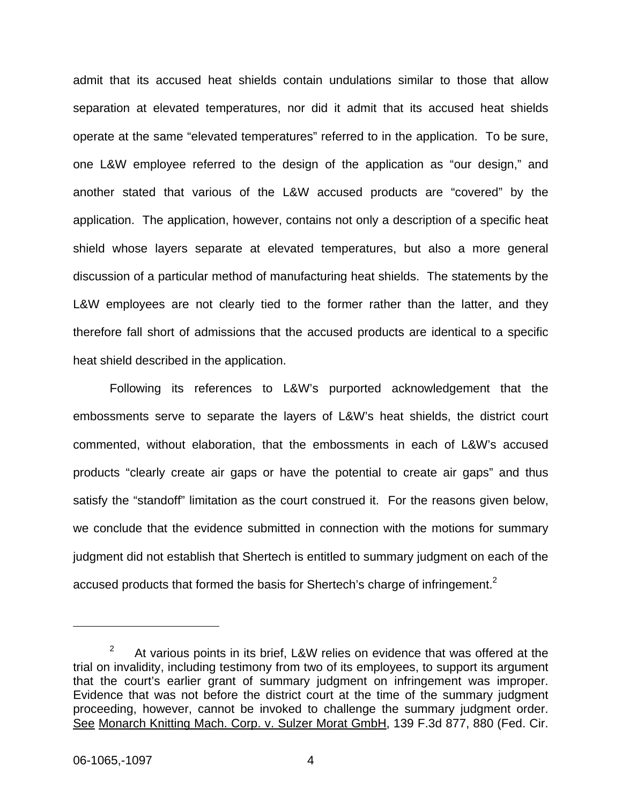admit that its accused heat shields contain undulations similar to those that allow separation at elevated temperatures, nor did it admit that its accused heat shields operate at the same "elevated temperatures" referred to in the application. To be sure, one L&W employee referred to the design of the application as "our design," and another stated that various of the L&W accused products are "covered" by the application. The application, however, contains not only a description of a specific heat shield whose layers separate at elevated temperatures, but also a more general discussion of a particular method of manufacturing heat shields. The statements by the L&W employees are not clearly tied to the former rather than the latter, and they therefore fall short of admissions that the accused products are identical to a specific heat shield described in the application.

Following its references to L&W's purported acknowledgement that the embossments serve to separate the layers of L&W's heat shields, the district court commented, without elaboration, that the embossments in each of L&W's accused products "clearly create air gaps or have the potential to create air gaps" and thus satisfy the "standoff" limitation as the court construed it. For the reasons given below, we conclude that the evidence submitted in connection with the motions for summary judgment did not establish that Shertech is entitled to summary judgment on each of the accused products that formed the basis for Shertech's charge of infringement.<sup>2</sup>

 $\overline{a}$ 

<span id="page-4-0"></span><sup>2</sup> At various points in its brief, L&W relies on evidence that was offered at the trial on invalidity, including testimony from two of its employees, to support its argument that the court's earlier grant of summary judgment on infringement was improper. Evidence that was not before the district court at the time of the summary judgment proceeding, however, cannot be invoked to challenge the summary judgment order. See Monarch Knitting Mach. Corp. v. Sulzer Morat GmbH, 139 F.3d 877, 880 (Fed. Cir.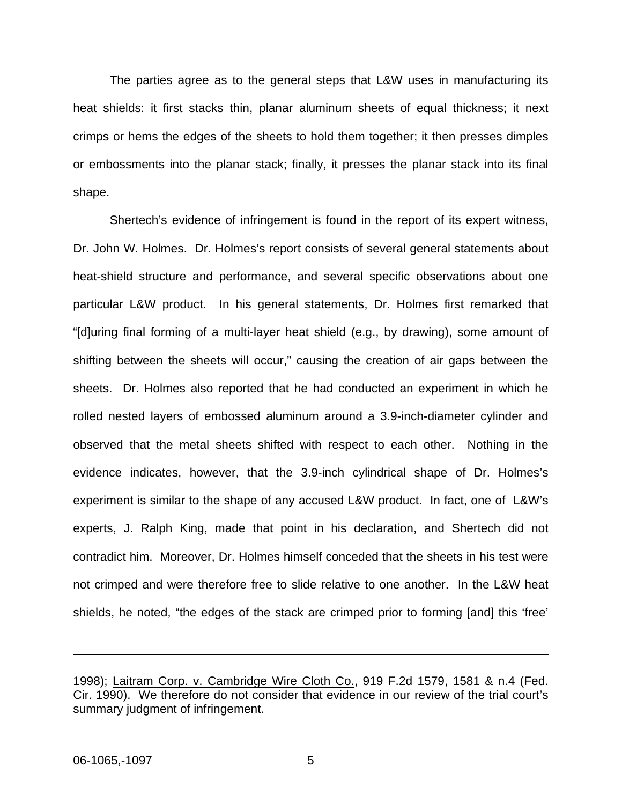The parties agree as to the general steps that L&W uses in manufacturing its heat shields: it first stacks thin, planar aluminum sheets of equal thickness; it next crimps or hems the edges of the sheets to hold them together; it then presses dimples or embossments into the planar stack; finally, it presses the planar stack into its final shape.

Shertech's evidence of infringement is found in the report of its expert witness, Dr. John W. Holmes. Dr. Holmes's report consists of several general statements about heat-shield structure and performance, and several specific observations about one particular L&W product. In his general statements, Dr. Holmes first remarked that "[d]uring final forming of a multi-layer heat shield (e.g., by drawing), some amount of shifting between the sheets will occur," causing the creation of air gaps between the sheets. Dr. Holmes also reported that he had conducted an experiment in which he rolled nested layers of embossed aluminum around a 3.9-inch-diameter cylinder and observed that the metal sheets shifted with respect to each other. Nothing in the evidence indicates, however, that the 3.9-inch cylindrical shape of Dr. Holmes's experiment is similar to the shape of any accused L&W product. In fact, one of L&W's experts, J. Ralph King, made that point in his declaration, and Shertech did not contradict him. Moreover, Dr. Holmes himself conceded that the sheets in his test were not crimped and were therefore free to slide relative to one another. In the L&W heat shields, he noted, "the edges of the stack are crimped prior to forming [and] this 'free'

 $\overline{a}$ 

<sup>1998);</sup> Laitram Corp. v. Cambridge Wire Cloth Co., 919 F.2d 1579, 1581 & n.4 (Fed. Cir. 1990). We therefore do not consider that evidence in our review of the trial court's summary judgment of infringement.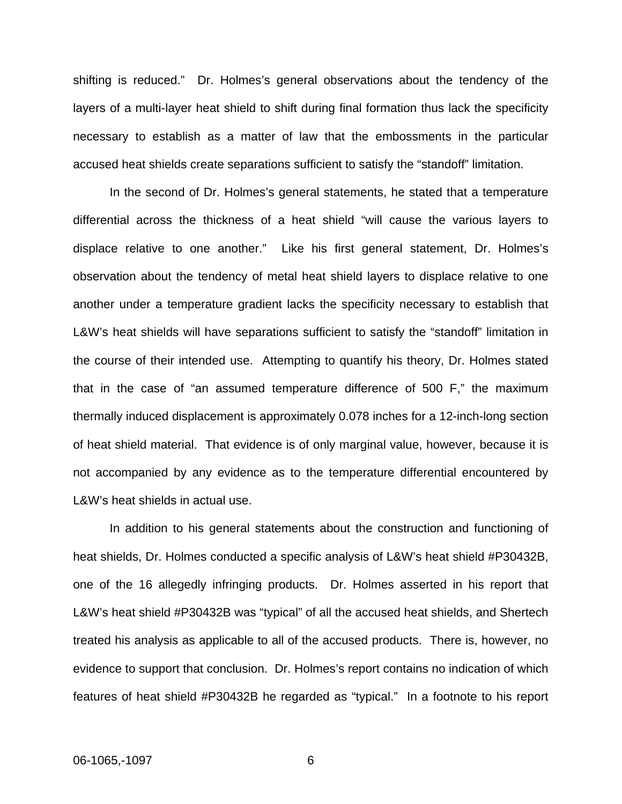shifting is reduced." Dr. Holmes's general observations about the tendency of the layers of a multi-layer heat shield to shift during final formation thus lack the specificity necessary to establish as a matter of law that the embossments in the particular accused heat shields create separations sufficient to satisfy the "standoff" limitation.

In the second of Dr. Holmes's general statements, he stated that a temperature differential across the thickness of a heat shield "will cause the various layers to displace relative to one another." Like his first general statement, Dr. Holmes's observation about the tendency of metal heat shield layers to displace relative to one another under a temperature gradient lacks the specificity necessary to establish that L&W's heat shields will have separations sufficient to satisfy the "standoff" limitation in the course of their intended use. Attempting to quantify his theory, Dr. Holmes stated that in the case of "an assumed temperature difference of 500 F," the maximum thermally induced displacement is approximately 0.078 inches for a 12-inch-long section of heat shield material. That evidence is of only marginal value, however, because it is not accompanied by any evidence as to the temperature differential encountered by L&W's heat shields in actual use.

In addition to his general statements about the construction and functioning of heat shields, Dr. Holmes conducted a specific analysis of L&W's heat shield #P30432B, one of the 16 allegedly infringing products. Dr. Holmes asserted in his report that L&W's heat shield #P30432B was "typical" of all the accused heat shields, and Shertech treated his analysis as applicable to all of the accused products. There is, however, no evidence to support that conclusion. Dr. Holmes's report contains no indication of which features of heat shield #P30432B he regarded as "typical." In a footnote to his report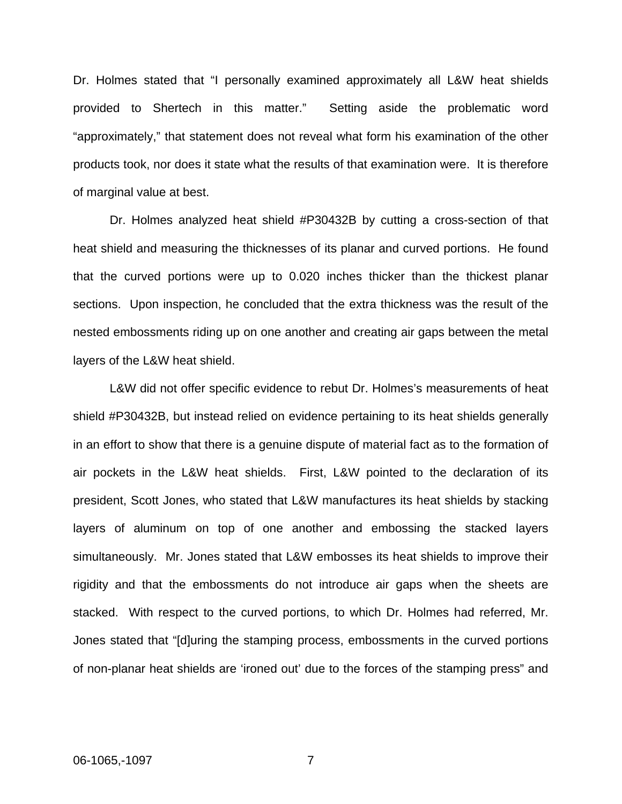Dr. Holmes stated that "I personally examined approximately all L&W heat shields provided to Shertech in this matter." Setting aside the problematic word "approximately," that statement does not reveal what form his examination of the other products took, nor does it state what the results of that examination were. It is therefore of marginal value at best.

Dr. Holmes analyzed heat shield #P30432B by cutting a cross-section of that heat shield and measuring the thicknesses of its planar and curved portions. He found that the curved portions were up to 0.020 inches thicker than the thickest planar sections. Upon inspection, he concluded that the extra thickness was the result of the nested embossments riding up on one another and creating air gaps between the metal layers of the L&W heat shield.

 L&W did not offer specific evidence to rebut Dr. Holmes's measurements of heat shield #P30432B, but instead relied on evidence pertaining to its heat shields generally in an effort to show that there is a genuine dispute of material fact as to the formation of air pockets in the L&W heat shields. First, L&W pointed to the declaration of its president, Scott Jones, who stated that L&W manufactures its heat shields by stacking layers of aluminum on top of one another and embossing the stacked layers simultaneously. Mr. Jones stated that L&W embosses its heat shields to improve their rigidity and that the embossments do not introduce air gaps when the sheets are stacked. With respect to the curved portions, to which Dr. Holmes had referred, Mr. Jones stated that "[d]uring the stamping process, embossments in the curved portions of non-planar heat shields are 'ironed out' due to the forces of the stamping press" and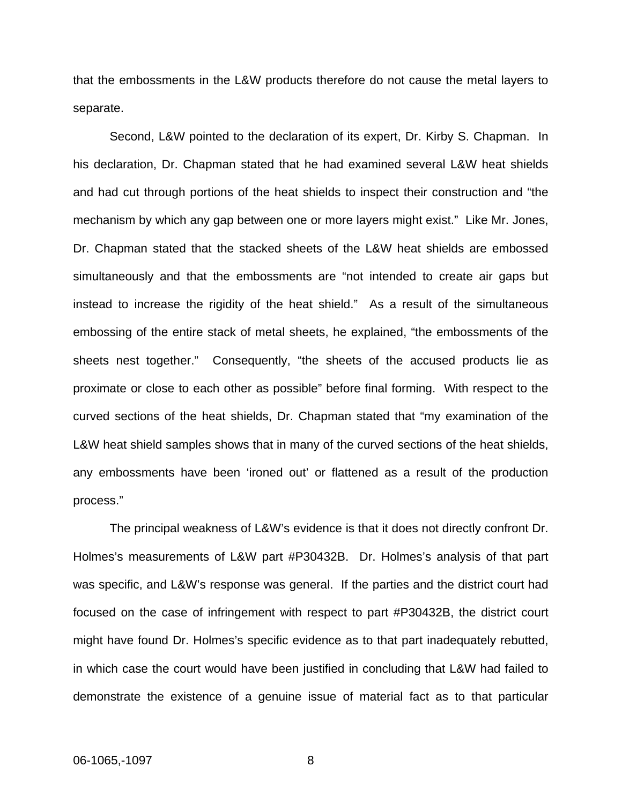that the embossments in the L&W products therefore do not cause the metal layers to separate.

 Second, L&W pointed to the declaration of its expert, Dr. Kirby S. Chapman. In his declaration, Dr. Chapman stated that he had examined several L&W heat shields and had cut through portions of the heat shields to inspect their construction and "the mechanism by which any gap between one or more layers might exist." Like Mr. Jones, Dr. Chapman stated that the stacked sheets of the L&W heat shields are embossed simultaneously and that the embossments are "not intended to create air gaps but instead to increase the rigidity of the heat shield." As a result of the simultaneous embossing of the entire stack of metal sheets, he explained, "the embossments of the sheets nest together." Consequently, "the sheets of the accused products lie as proximate or close to each other as possible" before final forming. With respect to the curved sections of the heat shields, Dr. Chapman stated that "my examination of the L&W heat shield samples shows that in many of the curved sections of the heat shields, any embossments have been 'ironed out' or flattened as a result of the production process."

 The principal weakness of L&W's evidence is that it does not directly confront Dr. Holmes's measurements of L&W part #P30432B. Dr. Holmes's analysis of that part was specific, and L&W's response was general. If the parties and the district court had focused on the case of infringement with respect to part #P30432B, the district court might have found Dr. Holmes's specific evidence as to that part inadequately rebutted, in which case the court would have been justified in concluding that L&W had failed to demonstrate the existence of a genuine issue of material fact as to that particular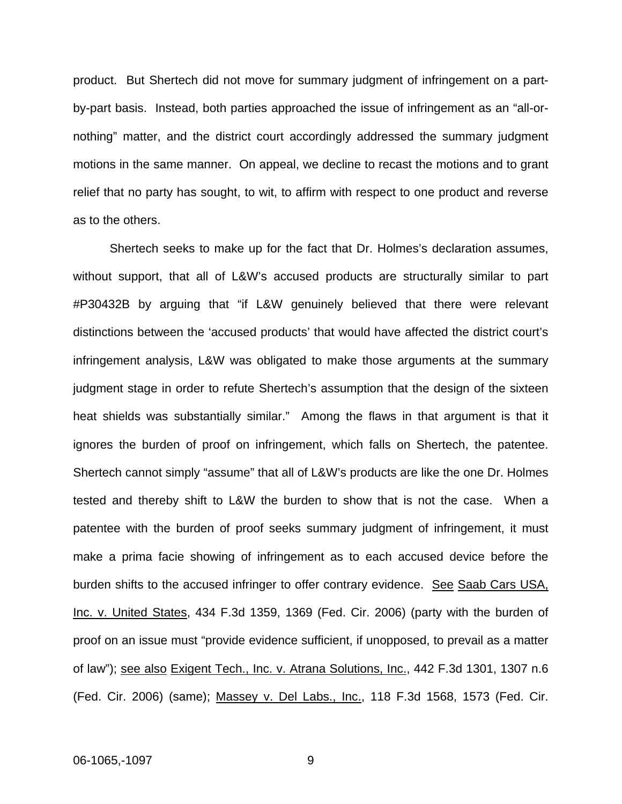product. But Shertech did not move for summary judgment of infringement on a partby-part basis. Instead, both parties approached the issue of infringement as an "all-ornothing" matter, and the district court accordingly addressed the summary judgment motions in the same manner. On appeal, we decline to recast the motions and to grant relief that no party has sought, to wit, to affirm with respect to one product and reverse as to the others.

Shertech seeks to make up for the fact that Dr. Holmes's declaration assumes, without support, that all of L&W's accused products are structurally similar to part #P30432B by arguing that "if L&W genuinely believed that there were relevant distinctions between the 'accused products' that would have affected the district court's infringement analysis, L&W was obligated to make those arguments at the summary judgment stage in order to refute Shertech's assumption that the design of the sixteen heat shields was substantially similar." Among the flaws in that argument is that it ignores the burden of proof on infringement, which falls on Shertech, the patentee. Shertech cannot simply "assume" that all of L&W's products are like the one Dr. Holmes tested and thereby shift to L&W the burden to show that is not the case. When a patentee with the burden of proof seeks summary judgment of infringement, it must make a prima facie showing of infringement as to each accused device before the burden shifts to the accused infringer to offer contrary evidence. See Saab Cars USA, Inc. v. United States, 434 F.3d 1359, 1369 (Fed. Cir. 2006) (party with the burden of proof on an issue must "provide evidence sufficient, if unopposed, to prevail as a matter of law"); see also Exigent Tech., Inc. v. Atrana Solutions, Inc., 442 F.3d 1301, 1307 n.6 (Fed. Cir. 2006) (same); Massey v. Del Labs., Inc., 118 F.3d 1568, 1573 (Fed. Cir.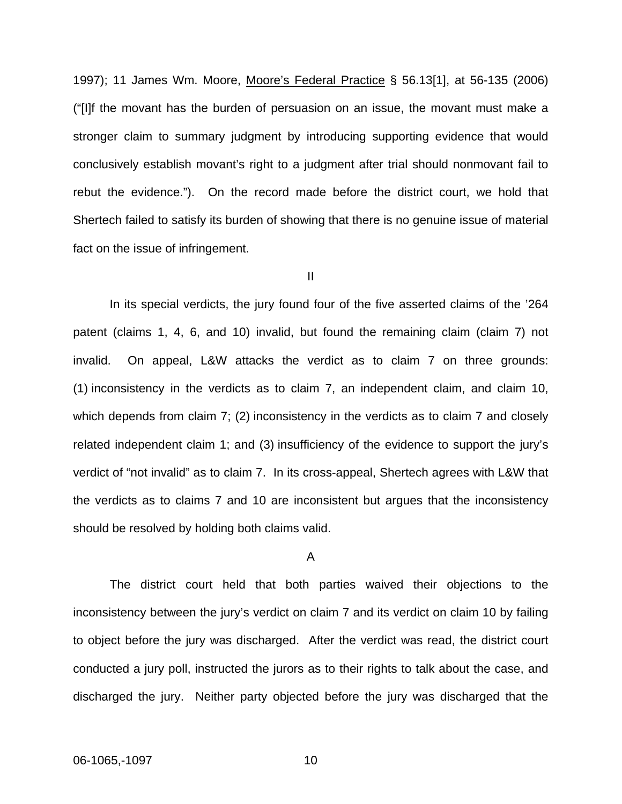1997); 11 James Wm. Moore, Moore's Federal Practice § 56.13[1], at 56-135 (2006) ("[I]f the movant has the burden of persuasion on an issue, the movant must make a stronger claim to summary judgment by introducing supporting evidence that would conclusively establish movant's right to a judgment after trial should nonmovant fail to rebut the evidence."). On the record made before the district court, we hold that Shertech failed to satisfy its burden of showing that there is no genuine issue of material fact on the issue of infringement.

II

 In its special verdicts, the jury found four of the five asserted claims of the '264 patent (claims 1, 4, 6, and 10) invalid, but found the remaining claim (claim 7) not invalid. On appeal, L&W attacks the verdict as to claim 7 on three grounds: (1) inconsistency in the verdicts as to claim 7, an independent claim, and claim 10, which depends from claim 7; (2) inconsistency in the verdicts as to claim 7 and closely related independent claim 1; and (3) insufficiency of the evidence to support the jury's verdict of "not invalid" as to claim 7. In its cross-appeal, Shertech agrees with L&W that the verdicts as to claims 7 and 10 are inconsistent but argues that the inconsistency should be resolved by holding both claims valid.

### A

 The district court held that both parties waived their objections to the inconsistency between the jury's verdict on claim 7 and its verdict on claim 10 by failing to object before the jury was discharged. After the verdict was read, the district court conducted a jury poll, instructed the jurors as to their rights to talk about the case, and discharged the jury. Neither party objected before the jury was discharged that the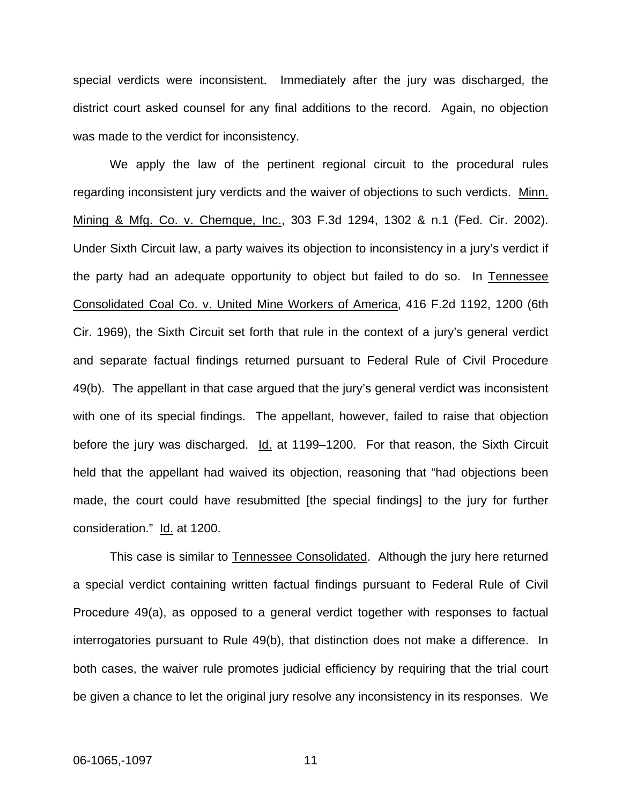special verdicts were inconsistent. Immediately after the jury was discharged, the district court asked counsel for any final additions to the record. Again, no objection was made to the verdict for inconsistency.

 We apply the law of the pertinent regional circuit to the procedural rules regarding inconsistent jury verdicts and the waiver of objections to such verdicts. Minn. Mining & Mfg. Co. v. Chemque, Inc., 303 F.3d 1294, 1302 & n.1 (Fed. Cir. 2002). Under Sixth Circuit law, a party waives its objection to inconsistency in a jury's verdict if the party had an adequate opportunity to object but failed to do so. In Tennessee Consolidated Coal Co. v. United Mine Workers of America, 416 F.2d 1192, 1200 (6th Cir. 1969), the Sixth Circuit set forth that rule in the context of a jury's general verdict and separate factual findings returned pursuant to Federal Rule of Civil Procedure 49(b). The appellant in that case argued that the jury's general verdict was inconsistent with one of its special findings. The appellant, however, failed to raise that objection before the jury was discharged. Id. at 1199–1200. For that reason, the Sixth Circuit held that the appellant had waived its objection, reasoning that "had objections been made, the court could have resubmitted [the special findings] to the jury for further consideration." Id. at 1200.

This case is similar to Tennessee Consolidated. Although the jury here returned a special verdict containing written factual findings pursuant to Federal Rule of Civil Procedure 49(a), as opposed to a general verdict together with responses to factual interrogatories pursuant to Rule 49(b), that distinction does not make a difference. In both cases, the waiver rule promotes judicial efficiency by requiring that the trial court be given a chance to let the original jury resolve any inconsistency in its responses. We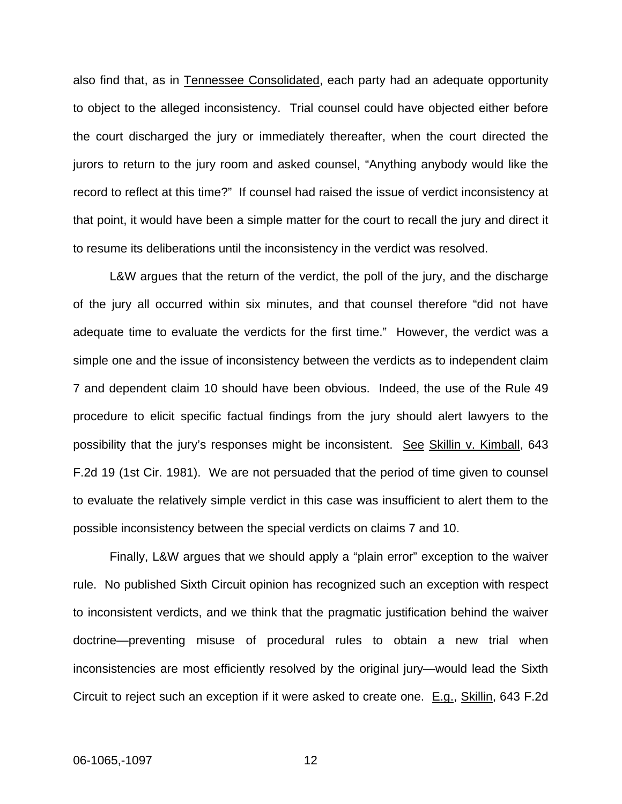also find that, as in Tennessee Consolidated, each party had an adequate opportunity to object to the alleged inconsistency. Trial counsel could have objected either before the court discharged the jury or immediately thereafter, when the court directed the jurors to return to the jury room and asked counsel, "Anything anybody would like the record to reflect at this time?" If counsel had raised the issue of verdict inconsistency at that point, it would have been a simple matter for the court to recall the jury and direct it to resume its deliberations until the inconsistency in the verdict was resolved.

L&W argues that the return of the verdict, the poll of the jury, and the discharge of the jury all occurred within six minutes, and that counsel therefore "did not have adequate time to evaluate the verdicts for the first time." However, the verdict was a simple one and the issue of inconsistency between the verdicts as to independent claim 7 and dependent claim 10 should have been obvious. Indeed, the use of the Rule 49 procedure to elicit specific factual findings from the jury should alert lawyers to the possibility that the jury's responses might be inconsistent. See Skillin v. Kimball, 643 F.2d 19 (1st Cir. 1981). We are not persuaded that the period of time given to counsel to evaluate the relatively simple verdict in this case was insufficient to alert them to the possible inconsistency between the special verdicts on claims 7 and 10.

 Finally, L&W argues that we should apply a "plain error" exception to the waiver rule. No published Sixth Circuit opinion has recognized such an exception with respect to inconsistent verdicts, and we think that the pragmatic justification behind the waiver doctrine—preventing misuse of procedural rules to obtain a new trial when inconsistencies are most efficiently resolved by the original jury—would lead the Sixth Circuit to reject such an exception if it were asked to create one. E.g., Skillin, 643 F.2d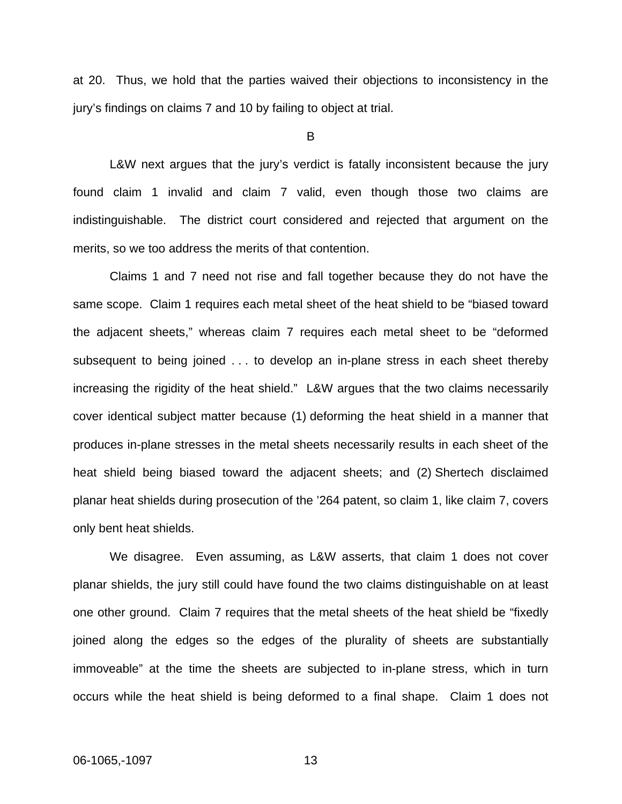at 20. Thus, we hold that the parties waived their objections to inconsistency in the jury's findings on claims 7 and 10 by failing to object at trial.

B

 L&W next argues that the jury's verdict is fatally inconsistent because the jury found claim 1 invalid and claim 7 valid, even though those two claims are indistinguishable. The district court considered and rejected that argument on the merits, so we too address the merits of that contention.

 Claims 1 and 7 need not rise and fall together because they do not have the same scope. Claim 1 requires each metal sheet of the heat shield to be "biased toward the adjacent sheets," whereas claim 7 requires each metal sheet to be "deformed subsequent to being joined . . . to develop an in-plane stress in each sheet thereby increasing the rigidity of the heat shield." L&W argues that the two claims necessarily cover identical subject matter because (1) deforming the heat shield in a manner that produces in-plane stresses in the metal sheets necessarily results in each sheet of the heat shield being biased toward the adjacent sheets; and (2) Shertech disclaimed planar heat shields during prosecution of the '264 patent, so claim 1, like claim 7, covers only bent heat shields.

We disagree. Even assuming, as L&W asserts, that claim 1 does not cover planar shields, the jury still could have found the two claims distinguishable on at least one other ground. Claim 7 requires that the metal sheets of the heat shield be "fixedly joined along the edges so the edges of the plurality of sheets are substantially immoveable" at the time the sheets are subjected to in-plane stress, which in turn occurs while the heat shield is being deformed to a final shape. Claim 1 does not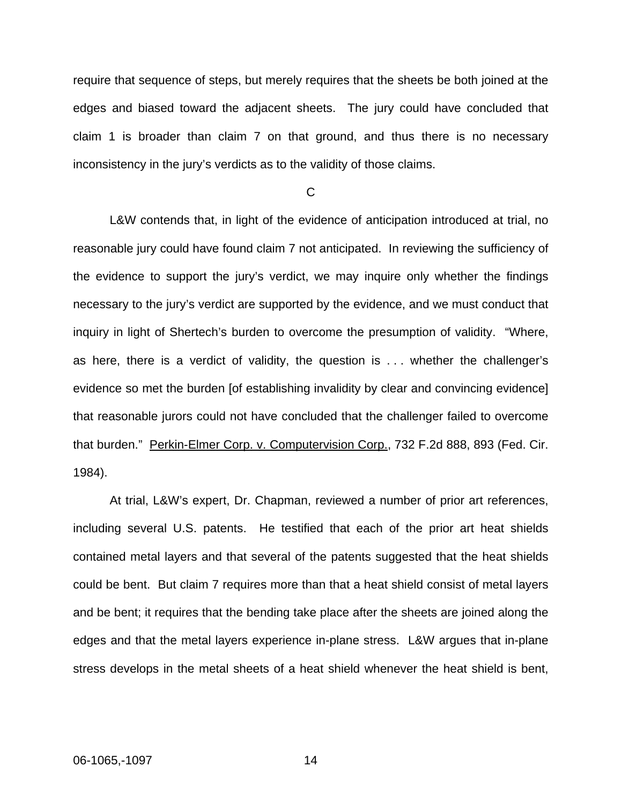require that sequence of steps, but merely requires that the sheets be both joined at the edges and biased toward the adjacent sheets. The jury could have concluded that claim 1 is broader than claim 7 on that ground, and thus there is no necessary inconsistency in the jury's verdicts as to the validity of those claims.

 $\mathcal{C}$ 

 L&W contends that, in light of the evidence of anticipation introduced at trial, no reasonable jury could have found claim 7 not anticipated. In reviewing the sufficiency of the evidence to support the jury's verdict, we may inquire only whether the findings necessary to the jury's verdict are supported by the evidence, and we must conduct that inquiry in light of Shertech's burden to overcome the presumption of validity. "Where, as here, there is a verdict of validity, the question is . . . whether the challenger's evidence so met the burden [of establishing invalidity by clear and convincing evidence] that reasonable jurors could not have concluded that the challenger failed to overcome that burden." Perkin-Elmer Corp. v. Computervision Corp., 732 F.2d 888, 893 (Fed. Cir. 1984).

 At trial, L&W's expert, Dr. Chapman, reviewed a number of prior art references, including several U.S. patents. He testified that each of the prior art heat shields contained metal layers and that several of the patents suggested that the heat shields could be bent. But claim 7 requires more than that a heat shield consist of metal layers and be bent; it requires that the bending take place after the sheets are joined along the edges and that the metal layers experience in-plane stress. L&W argues that in-plane stress develops in the metal sheets of a heat shield whenever the heat shield is bent,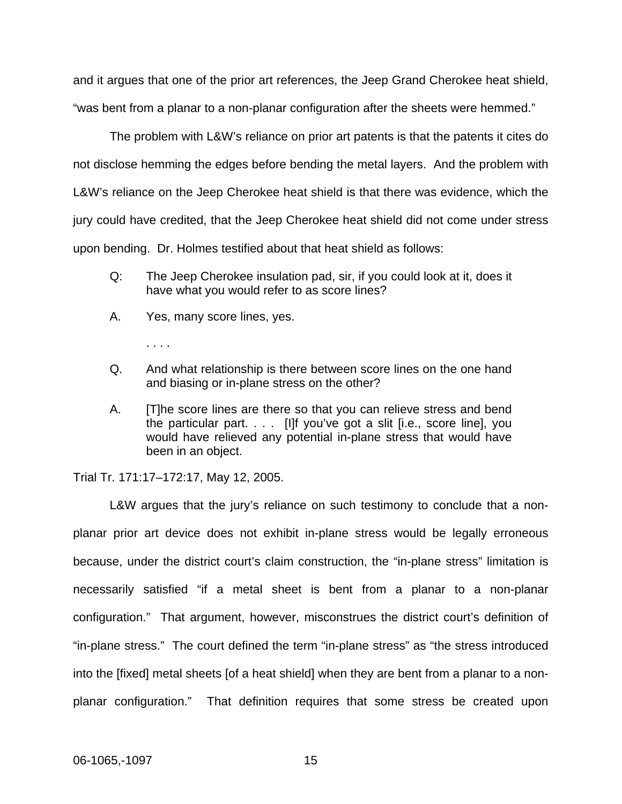and it argues that one of the prior art references, the Jeep Grand Cherokee heat shield, "was bent from a planar to a non-planar configuration after the sheets were hemmed."

The problem with L&W's reliance on prior art patents is that the patents it cites do not disclose hemming the edges before bending the metal layers. And the problem with L&W's reliance on the Jeep Cherokee heat shield is that there was evidence, which the jury could have credited, that the Jeep Cherokee heat shield did not come under stress upon bending. Dr. Holmes testified about that heat shield as follows:

- Q: The Jeep Cherokee insulation pad, sir, if you could look at it, does it have what you would refer to as score lines?
- A. Yes, many score lines, yes.

. . . .

- Q. And what relationship is there between score lines on the one hand and biasing or in-plane stress on the other?
- A. [T]he score lines are there so that you can relieve stress and bend the particular part. . . . [I]f you've got a slit [i.e., score line], you would have relieved any potential in-plane stress that would have been in an object.

Trial Tr. 171:17–172:17, May 12, 2005.

L&W argues that the jury's reliance on such testimony to conclude that a nonplanar prior art device does not exhibit in-plane stress would be legally erroneous because, under the district court's claim construction, the "in-plane stress" limitation is necessarily satisfied "if a metal sheet is bent from a planar to a non-planar configuration." That argument, however, misconstrues the district court's definition of "in-plane stress." The court defined the term "in-plane stress" as "the stress introduced into the [fixed] metal sheets [of a heat shield] when they are bent from a planar to a nonplanar configuration." That definition requires that some stress be created upon